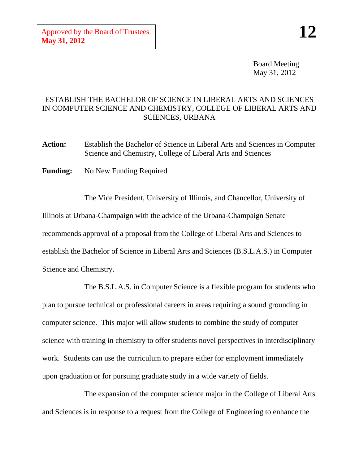Board Meeting May 31, 2012

## ESTABLISH THE BACHELOR OF SCIENCE IN LIBERAL ARTS AND SCIENCES IN COMPUTER SCIENCE AND CHEMISTRY, COLLEGE OF LIBERAL ARTS AND SCIENCES, URBANA

**Action:** Establish the Bachelor of Science in Liberal Arts and Sciences in Computer Science and Chemistry, College of Liberal Arts and Sciences

**Funding:** No New Funding Required

The Vice President, University of Illinois, and Chancellor, University of Illinois at Urbana-Champaign with the advice of the Urbana-Champaign Senate recommends approval of a proposal from the College of Liberal Arts and Sciences to establish the Bachelor of Science in Liberal Arts and Sciences (B.S.L.A.S.) in Computer Science and Chemistry.

The B.S.L.A.S. in Computer Science is a flexible program for students who plan to pursue technical or professional careers in areas requiring a sound grounding in computer science. This major will allow students to combine the study of computer science with training in chemistry to offer students novel perspectives in interdisciplinary work. Students can use the curriculum to prepare either for employment immediately upon graduation or for pursuing graduate study in a wide variety of fields.

The expansion of the computer science major in the College of Liberal Arts and Sciences is in response to a request from the College of Engineering to enhance the